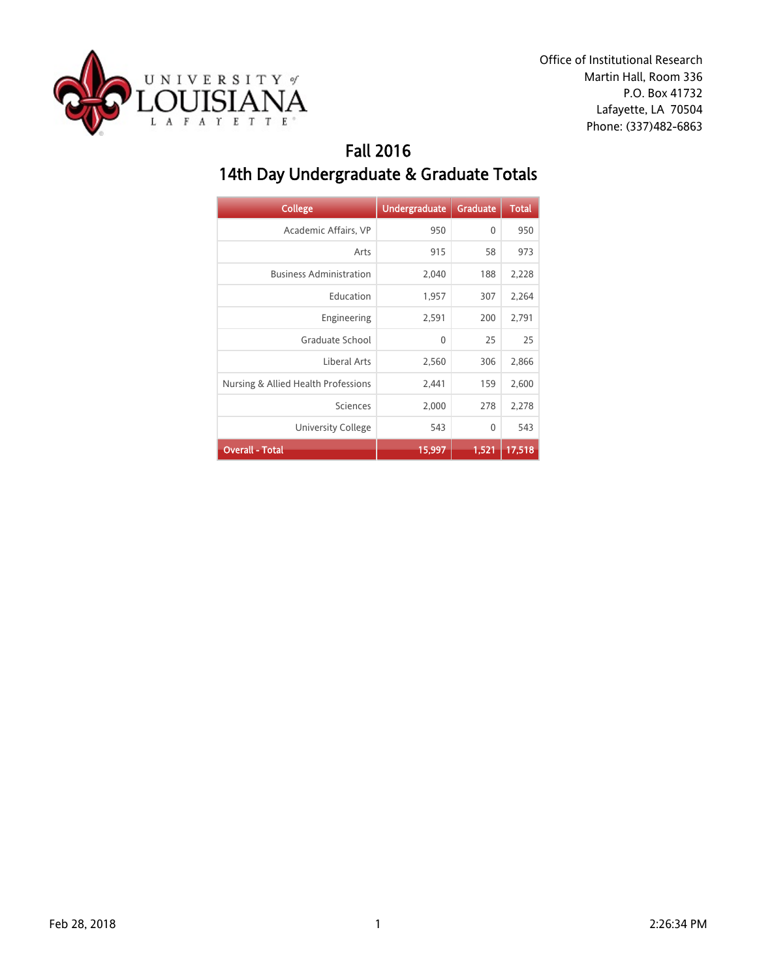

### Fall 2016 14th Day Undergraduate & Graduate Totals

| <b>College</b>                      | <b>Undergraduate</b> | Graduate     | <b>Total</b> |
|-------------------------------------|----------------------|--------------|--------------|
| Academic Affairs, VP                | 950                  | $\mathbf{0}$ | 950          |
| Arts                                | 915                  | 58           | 973          |
| <b>Business Administration</b>      | 2,040                | 188          | 2,228        |
| Education                           | 1,957                | 307          | 2,264        |
| Engineering                         | 2,591                | 200          | 2,791        |
| Graduate School                     | $\mathbf{0}$         | 25           | 25           |
| Liberal Arts                        | 2,560                | 306          | 2,866        |
| Nursing & Allied Health Professions | 2,441                | 159          | 2,600        |
| Sciences                            | 2,000                | 278          | 2,278        |
| <b>University College</b>           | 543                  | $\mathbf{0}$ | 543          |
| <b>Overall - Total</b>              | 15,997               | 1,521        | 17,518       |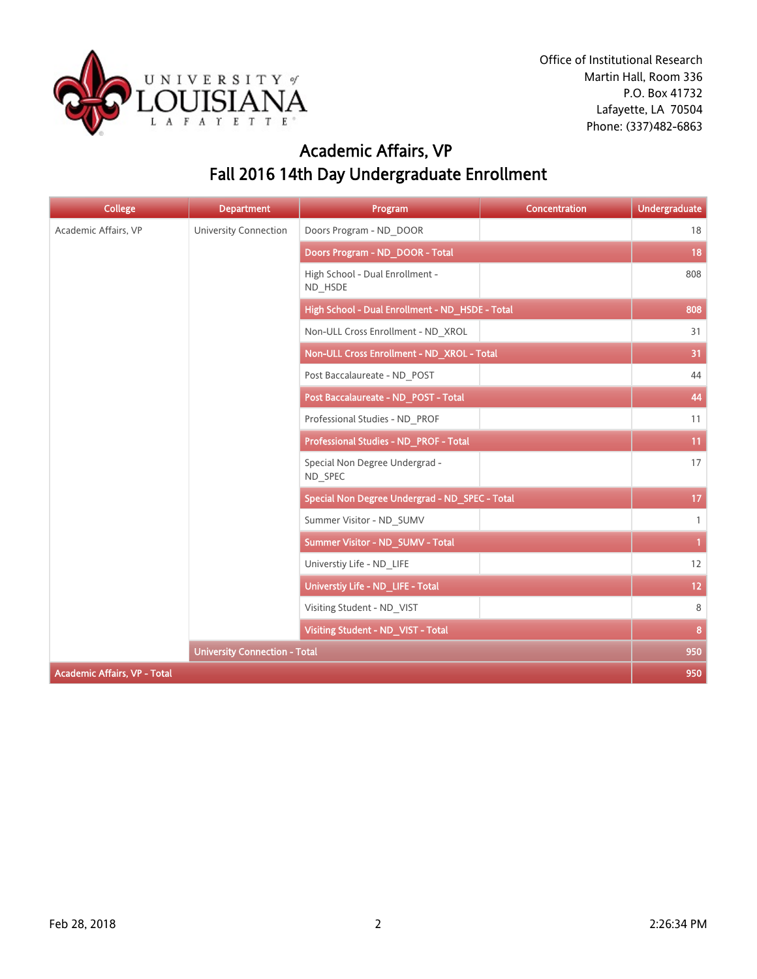

# Academic Affairs, VP Fall 2016 14th Day Undergraduate Enrollment

| <b>College</b>                      | <b>Department</b>            | Program                                         | Concentration | <b>Undergraduate</b> |
|-------------------------------------|------------------------------|-------------------------------------------------|---------------|----------------------|
| Academic Affairs, VP                | <b>University Connection</b> | Doors Program - ND DOOR                         |               | 18                   |
|                                     |                              | Doors Program - ND_DOOR - Total                 |               | 18                   |
|                                     |                              | High School - Dual Enrollment -<br>ND HSDE      |               | 808                  |
|                                     |                              | High School - Dual Enrollment - ND_HSDE - Total |               | 808                  |
|                                     |                              | Non-ULL Cross Enrollment - ND XROL              |               | 31                   |
|                                     |                              | Non-ULL Cross Enrollment - ND_XROL - Total      |               | 31                   |
|                                     |                              | Post Baccalaureate - ND POST                    |               | 44                   |
|                                     |                              | Post Baccalaureate - ND_POST - Total            |               | 44                   |
|                                     |                              | Professional Studies - ND PROF                  |               | 11                   |
|                                     |                              | Professional Studies - ND PROF - Total          |               | 11                   |
|                                     |                              | Special Non Degree Undergrad -<br>ND SPEC       |               | 17                   |
|                                     |                              | Special Non Degree Undergrad - ND_SPEC - Total  |               | 17                   |
|                                     |                              | Summer Visitor - ND SUMV                        |               | $\mathbf{1}$         |
|                                     |                              | Summer Visitor - ND_SUMV - Total                |               | $\mathbf{1}$         |
|                                     |                              | Universtiy Life - ND_LIFE                       |               | 12                   |
|                                     |                              | Universtiy Life - ND_LIFE - Total               |               | 12 <sub>2</sub>      |
|                                     |                              | Visiting Student - ND VIST                      |               | 8                    |
|                                     |                              | Visiting Student - ND_VIST - Total              |               | 8                    |
|                                     |                              | <b>University Connection - Total</b>            |               |                      |
| <b>Academic Affairs, VP - Total</b> |                              |                                                 |               | 950                  |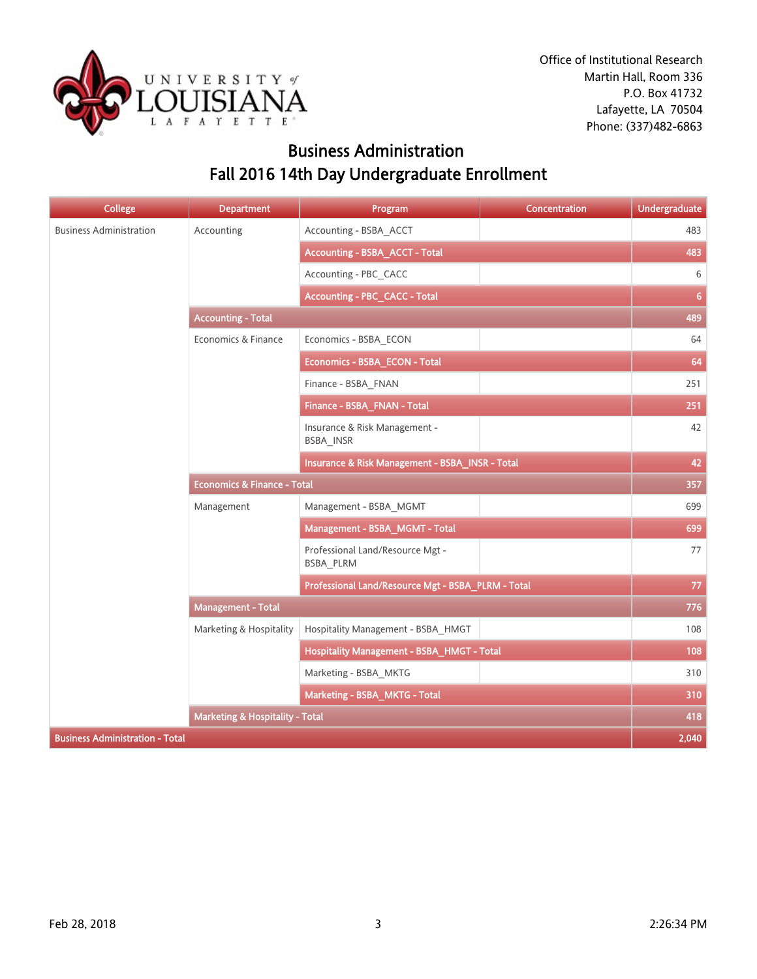

## Business Administration Fall 2016 14th Day Undergraduate Enrollment

| <b>College</b>                         | <b>Department</b>                          | Program                                            | Concentration | <b>Undergraduate</b> |
|----------------------------------------|--------------------------------------------|----------------------------------------------------|---------------|----------------------|
| <b>Business Administration</b>         | Accounting                                 | Accounting - BSBA_ACCT                             |               | 483                  |
|                                        |                                            | <b>Accounting - BSBA_ACCT - Total</b>              |               | 483                  |
|                                        |                                            | Accounting - PBC_CACC                              |               | 6                    |
|                                        |                                            | <b>Accounting - PBC_CACC - Total</b>               |               | 6                    |
|                                        | <b>Accounting - Total</b>                  |                                                    |               | 489                  |
|                                        | Economics & Finance                        | Economics - BSBA_ECON                              |               | 64                   |
|                                        |                                            | Economics - BSBA_ECON - Total                      |               | 64                   |
|                                        |                                            | Finance - BSBA FNAN                                |               | 251                  |
|                                        |                                            | Finance - BSBA_FNAN - Total                        |               | 251                  |
|                                        |                                            | Insurance & Risk Management -<br>BSBA_INSR         |               | 42                   |
|                                        |                                            | Insurance & Risk Management - BSBA_INSR - Total    |               | 42                   |
|                                        | <b>Economics &amp; Finance - Total</b>     |                                                    |               | 357                  |
|                                        | Management                                 | Management - BSBA MGMT                             |               | 699                  |
|                                        |                                            | Management - BSBA_MGMT - Total                     |               | 699                  |
|                                        |                                            | Professional Land/Resource Mgt -<br>BSBA_PLRM      |               | 77                   |
|                                        |                                            | Professional Land/Resource Mgt - BSBA_PLRM - Total |               | 77                   |
|                                        | <b>Management - Total</b>                  |                                                    |               | 776                  |
|                                        | Marketing & Hospitality                    | Hospitality Management - BSBA_HMGT                 |               | 108                  |
|                                        |                                            | Hospitality Management - BSBA_HMGT - Total         |               | 108                  |
|                                        |                                            | Marketing - BSBA_MKTG                              |               | 310                  |
|                                        |                                            | Marketing - BSBA_MKTG - Total                      |               | 310                  |
|                                        | <b>Marketing &amp; Hospitality - Total</b> |                                                    |               | 418                  |
| <b>Business Administration - Total</b> |                                            |                                                    |               | 2,040                |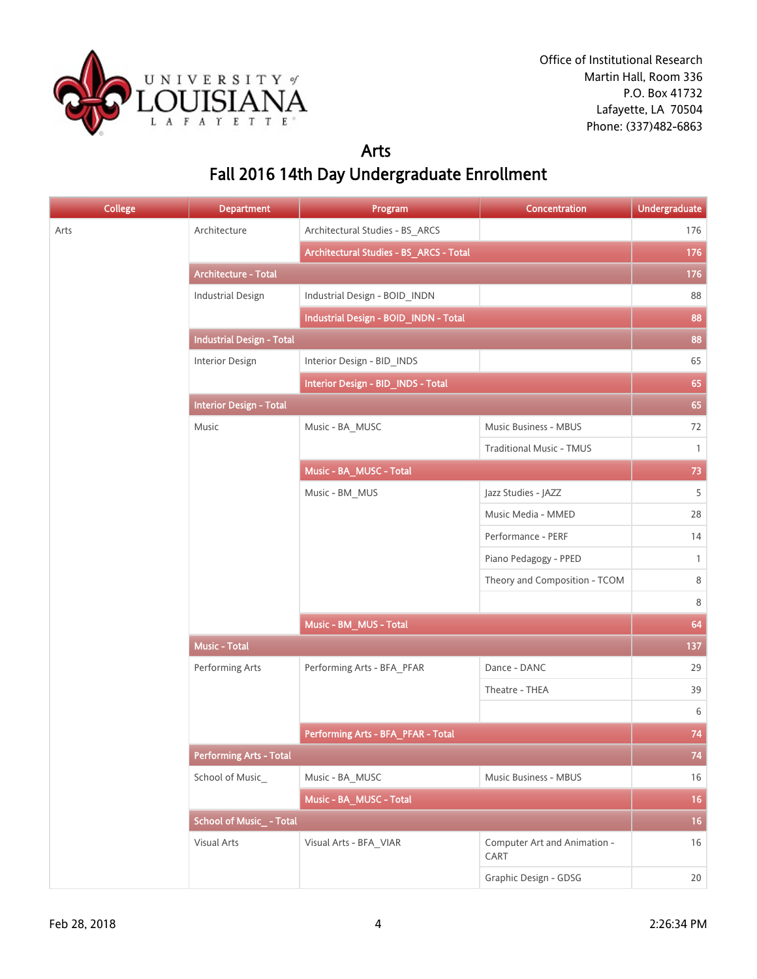

#### Arts Fall 2016 14th Day Undergraduate Enrollment

| <b>College</b> | <b>Department</b>                | Program                                 | Concentration                        | <b>Undergraduate</b> |
|----------------|----------------------------------|-----------------------------------------|--------------------------------------|----------------------|
| Arts           | Architecture                     | Architectural Studies - BS_ARCS         |                                      | 176                  |
|                |                                  | Architectural Studies - BS_ARCS - Total |                                      | 176                  |
|                | Architecture - Total             |                                         |                                      | 176                  |
|                | <b>Industrial Design</b>         | Industrial Design - BOID_INDN           |                                      | 88                   |
|                |                                  | Industrial Design - BOID_INDN - Total   |                                      | 88                   |
|                | <b>Industrial Design - Total</b> |                                         |                                      | 88                   |
|                | Interior Design                  | Interior Design - BID_INDS              |                                      | 65                   |
|                |                                  | Interior Design - BID_INDS - Total      |                                      | 65                   |
|                | <b>Interior Design - Total</b>   |                                         |                                      | 65                   |
|                | Music                            | Music - BA_MUSC                         | Music Business - MBUS                | 72                   |
|                |                                  |                                         | <b>Traditional Music - TMUS</b>      | $\mathbf{1}$         |
|                |                                  | Music - BA_MUSC - Total                 |                                      | 73                   |
|                |                                  | Music - BM_MUS                          | Jazz Studies - JAZZ                  | 5                    |
|                |                                  |                                         | Music Media - MMED                   | 28                   |
|                |                                  |                                         | Performance - PERF                   | 14                   |
|                |                                  |                                         | Piano Pedagogy - PPED                | $\mathbf{1}$         |
|                |                                  |                                         | Theory and Composition - TCOM        | 8                    |
|                |                                  |                                         |                                      | 8                    |
|                |                                  | Music - BM_MUS - Total                  |                                      | 64                   |
|                | <b>Music - Total</b>             |                                         |                                      | 137                  |
|                | Performing Arts                  | Performing Arts - BFA_PFAR              | Dance - DANC                         | 29                   |
|                |                                  |                                         | Theatre - THEA                       | 39                   |
|                |                                  |                                         |                                      | 6                    |
|                |                                  | Performing Arts - BFA_PFAR - Total      |                                      | 74                   |
|                | <b>Performing Arts - Total</b>   |                                         |                                      | 74                   |
|                | School of Music_                 | Music - BA_MUSC                         | Music Business - MBUS                | $16\,$               |
|                |                                  | Music - BA_MUSC - Total                 |                                      | $16\,$               |
|                | School of Music_ - Total         |                                         |                                      | 16                   |
|                | Visual Arts                      | Visual Arts - BFA_VIAR                  | Computer Art and Animation -<br>CART | 16                   |
|                |                                  |                                         | Graphic Design - GDSG                | 20                   |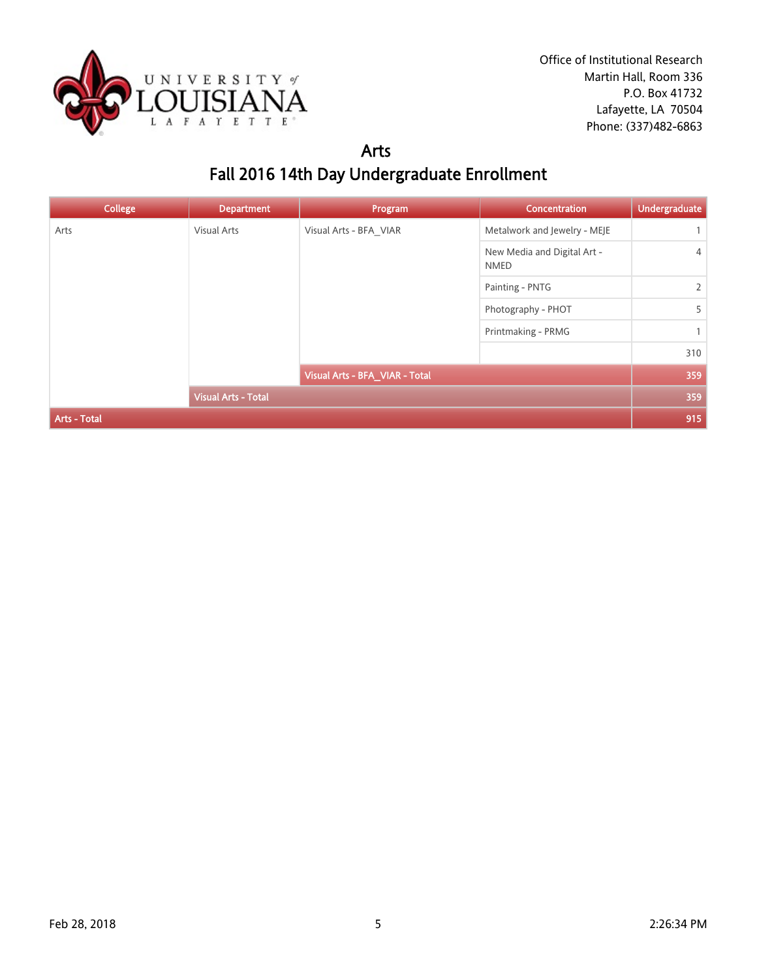

#### Arts Fall 2016 14th Day Undergraduate Enrollment

| <b>College</b>             | <b>Department</b>  | Program                        | <b>Concentration</b>                       | <b>Undergraduate</b> |
|----------------------------|--------------------|--------------------------------|--------------------------------------------|----------------------|
| Arts                       | <b>Visual Arts</b> | Visual Arts - BFA VIAR         | Metalwork and Jewelry - MEJE               | $\mathbf{1}$         |
|                            |                    |                                | New Media and Digital Art -<br><b>NMED</b> | $\overline{4}$       |
| <b>Visual Arts - Total</b> |                    |                                | Painting - PNTG                            | $\overline{2}$       |
|                            |                    |                                | Photography - PHOT                         | 5                    |
|                            |                    | Printmaking - PRMG             | $\mathbf{1}$                               |                      |
|                            |                    |                                |                                            | 310                  |
|                            |                    | Visual Arts - BFA_VIAR - Total |                                            | 359                  |
|                            |                    |                                |                                            | 359                  |
| <b>Arts - Total</b>        |                    |                                |                                            | 915                  |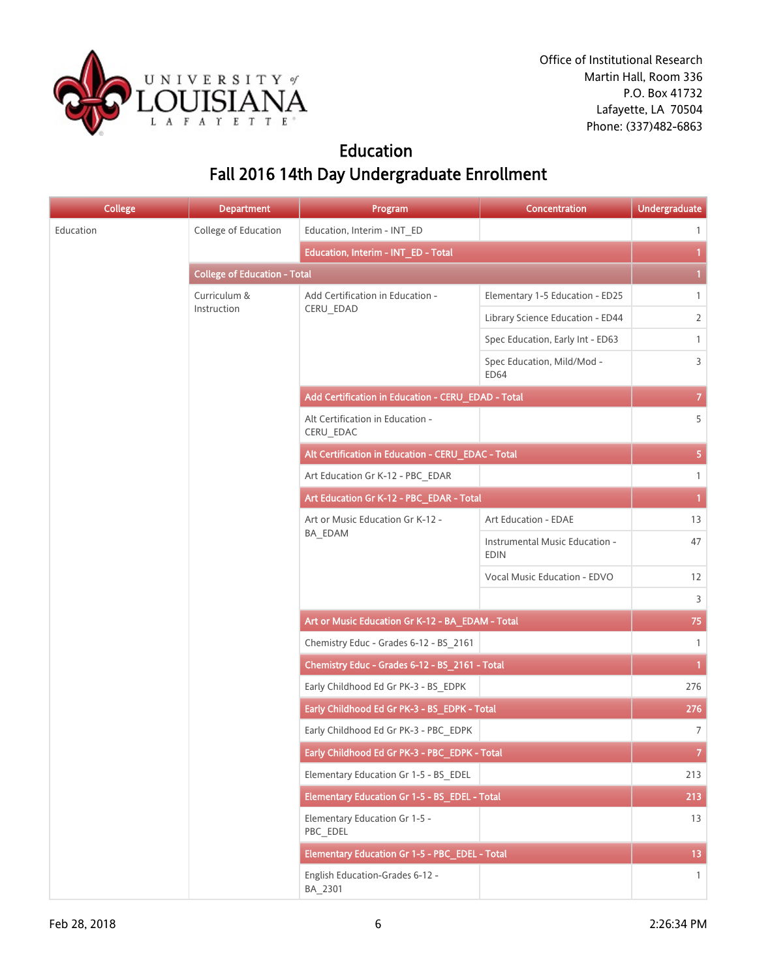

## Education Fall 2016 14th Day Undergraduate Enrollment

| <b>College</b> | <b>Department</b>                   | Program                                            | Concentration                                 | <b>Undergraduate</b> |
|----------------|-------------------------------------|----------------------------------------------------|-----------------------------------------------|----------------------|
| Education      | College of Education                | Education, Interim - INT_ED                        |                                               | $\mathbf{1}$         |
|                |                                     | Education, Interim - INT_ED - Total                |                                               | $\mathbf{1}$         |
|                | <b>College of Education - Total</b> |                                                    | $\mathbf{1}$                                  |                      |
|                | Curriculum &                        | Add Certification in Education -                   | Elementary 1-5 Education - ED25               | $\mathbf{1}$         |
|                | Instruction                         | CERU_EDAD                                          | Library Science Education - ED44              | $\overline{2}$       |
|                |                                     |                                                    | Spec Education, Early Int - ED63              | $\mathbf{1}$         |
|                |                                     |                                                    | Spec Education, Mild/Mod -<br>ED64            | 3                    |
|                |                                     | Add Certification in Education - CERU_EDAD - Total |                                               | $\mathcal{T}$        |
|                |                                     | Alt Certification in Education -<br>CERU_EDAC      |                                               | 5                    |
|                |                                     | Alt Certification in Education - CERU_EDAC - Total |                                               | 5 <sub>1</sub>       |
|                |                                     | Art Education Gr K-12 - PBC EDAR                   |                                               | $\mathbf{1}$         |
|                |                                     | Art Education Gr K-12 - PBC_EDAR - Total           |                                               | $\mathbf{1}$         |
|                |                                     | Art or Music Education Gr K-12 -<br>BA_EDAM        | Art Education - EDAE                          | 13                   |
|                |                                     |                                                    | Instrumental Music Education -<br><b>EDIN</b> | 47                   |
|                |                                     |                                                    | Vocal Music Education - EDVO                  | 12                   |
|                |                                     |                                                    |                                               | 3                    |
|                |                                     | Art or Music Education Gr K-12 - BA_EDAM - Total   |                                               | 75                   |
|                |                                     | Chemistry Educ - Grades 6-12 - BS_2161             |                                               | $\mathbf{1}$         |
|                |                                     | Chemistry Educ - Grades 6-12 - BS_2161 - Total     |                                               | $\mathbf{1}$         |
|                |                                     | Early Childhood Ed Gr PK-3 - BS_EDPK               |                                               | 276                  |
|                |                                     | Early Childhood Ed Gr PK-3 - BS_EDPK - Total       |                                               | 276                  |
|                |                                     | Early Childhood Ed Gr PK-3 - PBC_EDPK              |                                               | $\overline{7}$       |
|                |                                     | Early Childhood Ed Gr PK-3 - PBC_EDPK - Total      |                                               | $\mathbf{7}$         |
|                |                                     | Elementary Education Gr 1-5 - BS EDEL              |                                               | 213                  |
|                |                                     | Elementary Education Gr 1-5 - BS_EDEL - Total      |                                               | 213                  |
|                |                                     | Elementary Education Gr 1-5 -<br>PBC_EDEL          |                                               | 13                   |
|                |                                     | Elementary Education Gr 1-5 - PBC_EDEL - Total     |                                               | 13 <sup>°</sup>      |
|                |                                     | English Education-Grades 6-12 -<br>BA_2301         |                                               | $\mathbf{1}$         |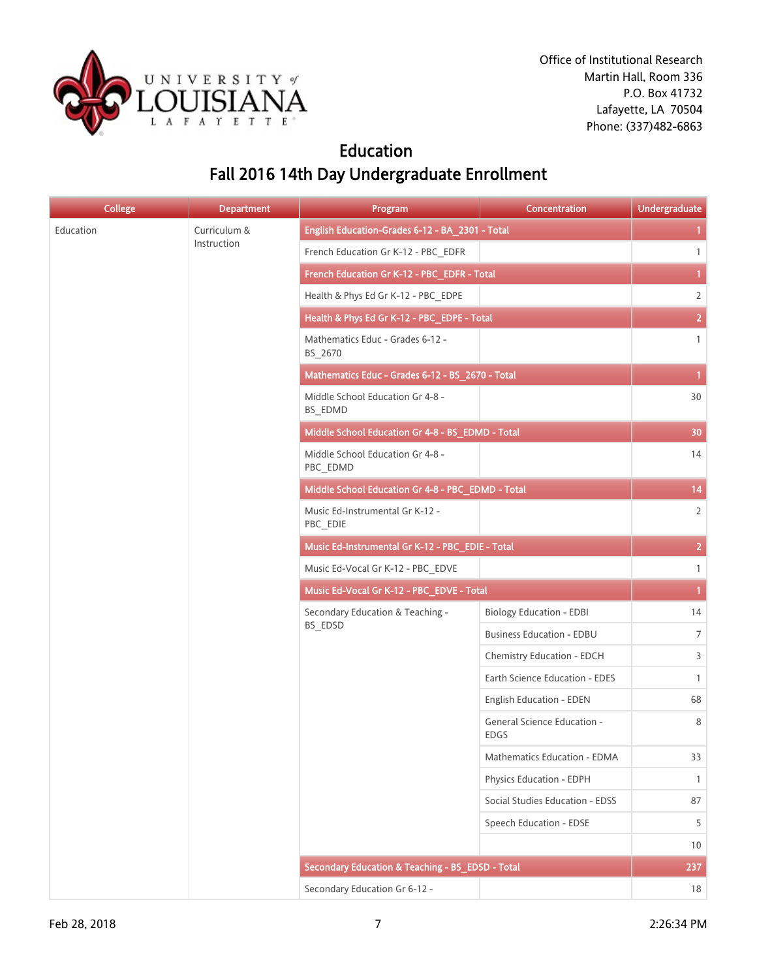

## Education Fall 2016 14th Day Undergraduate Enrollment

| <b>College</b> | <b>Department</b> | Program                                           | Concentration                              | <b>Undergraduate</b> |
|----------------|-------------------|---------------------------------------------------|--------------------------------------------|----------------------|
| Education      | Curriculum &      | English Education-Grades 6-12 - BA_2301 - Total   |                                            | $\mathbf{1}$         |
|                | Instruction       | French Education Gr K-12 - PBC_EDFR               |                                            | $\mathbf{1}$         |
|                |                   | French Education Gr K-12 - PBC_EDFR - Total       |                                            | $\mathbf{1}$         |
|                |                   | Health & Phys Ed Gr K-12 - PBC_EDPE               |                                            | $\overline{2}$       |
|                |                   | Health & Phys Ed Gr K-12 - PBC_EDPE - Total       |                                            | $\overline{2}$       |
|                |                   | Mathematics Educ - Grades 6-12 -<br>BS_2670       |                                            | $\mathbf{1}$         |
|                |                   | Mathematics Educ - Grades 6-12 - BS_2670 - Total  |                                            | $\mathbf{1}$         |
|                |                   | Middle School Education Gr 4-8 -<br>BS_EDMD       |                                            | 30                   |
|                |                   | Middle School Education Gr 4-8 - BS_EDMD - Total  |                                            | 30                   |
|                |                   | Middle School Education Gr 4-8 -<br>PBC_EDMD      |                                            | 14                   |
|                |                   | Middle School Education Gr 4-8 - PBC_EDMD - Total |                                            | 14                   |
|                |                   | Music Ed-Instrumental Gr K-12 -<br>PBC_EDIE       |                                            | $\overline{2}$       |
|                |                   | Music Ed-Instrumental Gr K-12 - PBC_EDIE - Total  |                                            | $\overline{2}$       |
|                |                   | Music Ed-Vocal Gr K-12 - PBC_EDVE                 |                                            | $\mathbf{1}$         |
|                |                   | Music Ed-Vocal Gr K-12 - PBC_EDVE - Total         |                                            | $\mathbf{1}$         |
|                |                   | Secondary Education & Teaching -<br>BS_EDSD       | <b>Biology Education - EDBI</b>            | 14                   |
|                |                   |                                                   | <b>Business Education - EDBU</b>           | $7\overline{ }$      |
|                |                   |                                                   | Chemistry Education - EDCH                 | 3                    |
|                |                   |                                                   | Earth Science Education - EDES             | $\mathbf{1}$         |
|                |                   |                                                   | English Education - EDEN                   | 68                   |
|                |                   |                                                   | General Science Education -<br><b>EDGS</b> | 8                    |
|                |                   |                                                   | Mathematics Education - EDMA               | 33                   |
|                |                   |                                                   | Physics Education - EDPH                   | $\mathbf{1}$         |
|                |                   |                                                   | Social Studies Education - EDSS            | 87                   |
|                |                   |                                                   | Speech Education - EDSE                    | 5                    |
|                |                   |                                                   |                                            | 10 <sup>°</sup>      |
|                |                   | Secondary Education & Teaching - BS_EDSD - Total  |                                            | 237                  |
|                |                   | Secondary Education Gr 6-12 -                     |                                            | 18                   |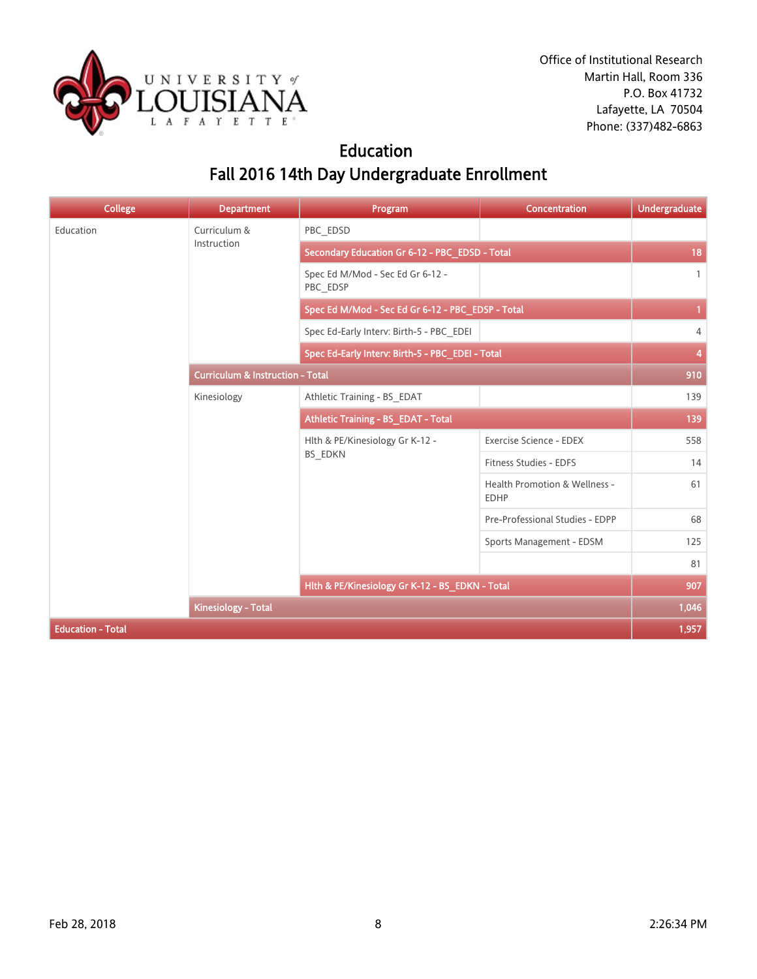

## Education Fall 2016 14th Day Undergraduate Enrollment

| <b>College</b>           | <b>Department</b>                           | Program                                           | Concentration                                | <b>Undergraduate</b> |
|--------------------------|---------------------------------------------|---------------------------------------------------|----------------------------------------------|----------------------|
| Education                | Curriculum &                                | PBC EDSD                                          |                                              |                      |
|                          | Instruction                                 | Secondary Education Gr 6-12 - PBC_EDSD - Total    |                                              | 18                   |
|                          |                                             | Spec Ed M/Mod - Sec Ed Gr 6-12 -<br>PBC_EDSP      |                                              | $\mathbf{1}$         |
|                          |                                             | Spec Ed M/Mod - Sec Ed Gr 6-12 - PBC_EDSP - Total |                                              | $\mathbf{1}$         |
|                          |                                             | Spec Ed-Early Interv: Birth-5 - PBC EDEI          |                                              | 4                    |
|                          |                                             | Spec Ed-Early Interv: Birth-5 - PBC_EDEI - Total  |                                              | 4                    |
|                          | <b>Curriculum &amp; Instruction - Total</b> |                                                   | 910                                          |                      |
|                          | Kinesiology                                 | Athletic Training - BS EDAT                       |                                              | 139                  |
|                          |                                             | Athletic Training - BS EDAT - Total               |                                              | 139                  |
|                          |                                             | Hlth & PE/Kinesiology Gr K-12 -<br>BS_EDKN        | Exercise Science - EDEX                      | 558                  |
|                          |                                             |                                                   | Fitness Studies - EDFS                       | 14                   |
|                          |                                             |                                                   | Health Promotion & Wellness -<br><b>EDHP</b> | 61                   |
|                          |                                             |                                                   | Pre-Professional Studies - EDPP              | 68                   |
|                          |                                             |                                                   | Sports Management - EDSM                     | 125                  |
|                          |                                             |                                                   |                                              | 81                   |
|                          |                                             | Hlth & PE/Kinesiology Gr K-12 - BS_EDKN - Total   |                                              | 907                  |
|                          | <b>Kinesiology - Total</b>                  |                                                   |                                              | 1,046                |
| <b>Education - Total</b> |                                             |                                                   |                                              | 1,957                |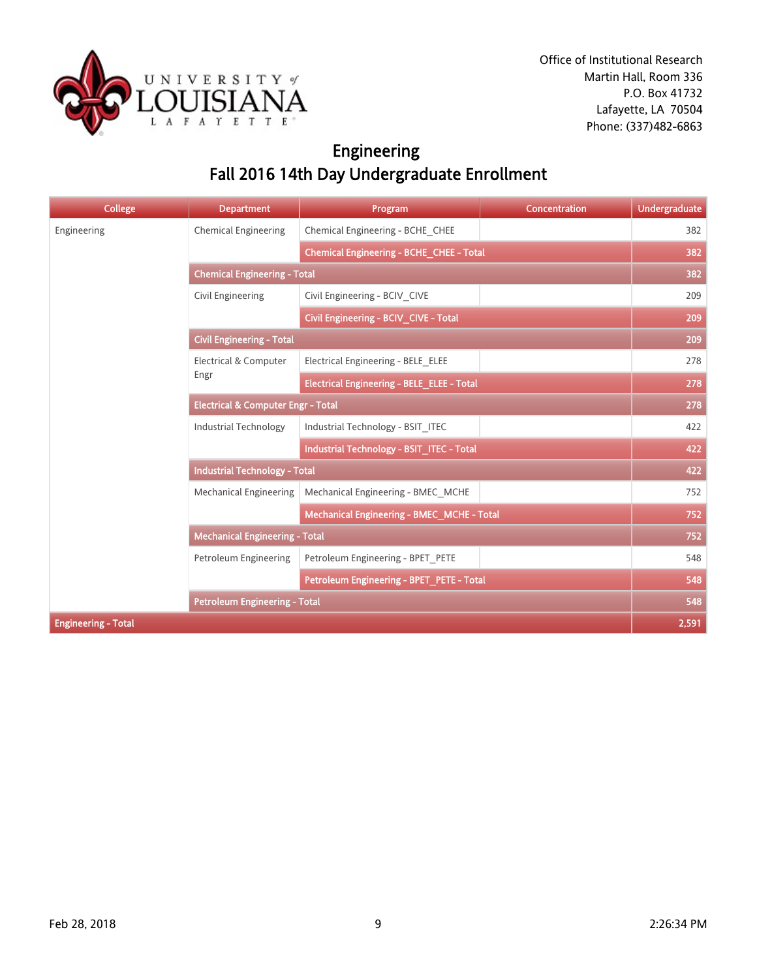

# Engineering Fall 2016 14th Day Undergraduate Enrollment

| <b>College</b>             | <b>Department</b>                             | Program                                           | <b>Concentration</b> | <b>Undergraduate</b> |
|----------------------------|-----------------------------------------------|---------------------------------------------------|----------------------|----------------------|
| Engineering                | <b>Chemical Engineering</b>                   | Chemical Engineering - BCHE CHEE                  |                      | 382                  |
|                            |                                               | Chemical Engineering - BCHE_CHEE - Total          |                      | 382                  |
|                            | <b>Chemical Engineering - Total</b>           |                                                   |                      |                      |
|                            | Civil Engineering                             | Civil Engineering - BCIV CIVE                     |                      | 209                  |
|                            |                                               | Civil Engineering - BCIV_CIVE - Total             |                      | 209                  |
|                            | <b>Civil Engineering - Total</b>              |                                                   |                      | 209                  |
|                            | <b>Electrical &amp; Computer</b>              | Electrical Engineering - BELE ELEE                |                      | 278                  |
|                            | Engr                                          | <b>Electrical Engineering - BELE_ELEE - Total</b> |                      | 278                  |
|                            | <b>Electrical &amp; Computer Engr - Total</b> |                                                   |                      | 278                  |
|                            | <b>Industrial Technology</b>                  | Industrial Technology - BSIT ITEC                 |                      | 422                  |
|                            |                                               | Industrial Technology - BSIT_ITEC - Total         |                      | 422                  |
|                            | <b>Industrial Technology - Total</b>          |                                                   |                      | 422                  |
|                            | <b>Mechanical Engineering</b>                 | Mechanical Engineering - BMEC MCHE                |                      | 752                  |
|                            |                                               | Mechanical Engineering - BMEC_MCHE - Total        |                      | 752                  |
|                            | <b>Mechanical Engineering - Total</b>         |                                                   |                      | 752                  |
|                            | Petroleum Engineering                         | Petroleum Engineering - BPET PETE                 |                      | 548                  |
|                            |                                               | Petroleum Engineering - BPET_PETE - Total         |                      | 548                  |
|                            | <b>Petroleum Engineering - Total</b>          |                                                   |                      | 548                  |
| <b>Engineering - Total</b> |                                               |                                                   |                      | 2,591                |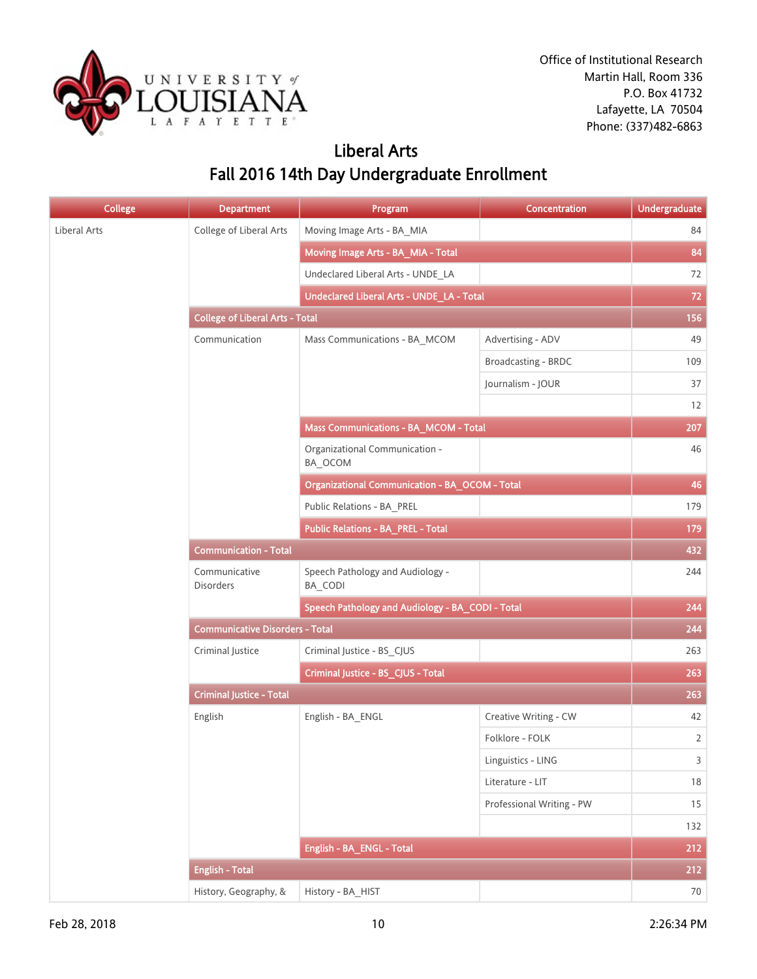

## Liberal Arts Fall 2016 14th Day Undergraduate Enrollment

| <b>College</b> | <b>Department</b>                      | Program                                               | Concentration             | <b>Undergraduate</b> |
|----------------|----------------------------------------|-------------------------------------------------------|---------------------------|----------------------|
| Liberal Arts   | College of Liberal Arts                | Moving Image Arts - BA_MIA                            |                           | 84                   |
|                |                                        | Moving Image Arts - BA_MIA - Total                    |                           | 84                   |
|                |                                        | Undeclared Liberal Arts - UNDE_LA                     |                           | 72                   |
|                |                                        | Undeclared Liberal Arts - UNDE_LA - Total             |                           |                      |
|                | <b>College of Liberal Arts - Total</b> |                                                       |                           | 156                  |
|                | Communication                          | Mass Communications - BA_MCOM                         | Advertising - ADV         | 49                   |
|                |                                        |                                                       | Broadcasting - BRDC       | 109                  |
|                |                                        |                                                       | Journalism - JOUR         | 37                   |
|                |                                        |                                                       |                           | 12                   |
|                |                                        | Mass Communications - BA_MCOM - Total                 |                           | 207                  |
|                |                                        | Organizational Communication -<br>BA_OCOM             |                           | 46                   |
|                |                                        | <b>Organizational Communication - BA_OCOM - Total</b> |                           | 46                   |
|                |                                        | Public Relations - BA_PREL                            |                           | 179                  |
|                |                                        | <b>Public Relations - BA_PREL - Total</b>             |                           | 179                  |
|                | <b>Communication - Total</b>           |                                                       |                           | 432                  |
|                | Communicative<br><b>Disorders</b>      | Speech Pathology and Audiology -<br>BA_CODI           |                           | 244                  |
|                |                                        | Speech Pathology and Audiology - BA_CODI - Total      |                           | 244                  |
|                | <b>Communicative Disorders - Total</b> |                                                       |                           |                      |
|                | Criminal Justice                       | Criminal Justice - BS_CJUS                            |                           | 263                  |
|                |                                        | Criminal Justice - BS_CJUS - Total                    |                           | 263                  |
|                | <b>Criminal Justice - Total</b>        |                                                       |                           | 263                  |
|                | English                                | English - BA_ENGL                                     | Creative Writing - CW     | 42                   |
|                |                                        |                                                       | Folklore - FOLK           | $\overline{2}$       |
|                |                                        |                                                       | Linguistics - LING        | $\overline{3}$       |
|                |                                        |                                                       | Literature - LIT          | $18\,$               |
|                |                                        |                                                       | Professional Writing - PW | 15                   |
|                |                                        |                                                       |                           | 132                  |
|                |                                        | English - BA_ENGL - Total                             |                           | 212                  |
|                | <b>English - Total</b>                 |                                                       |                           | 212                  |
|                | History, Geography, &                  | History - BA_HIST                                     |                           | 70                   |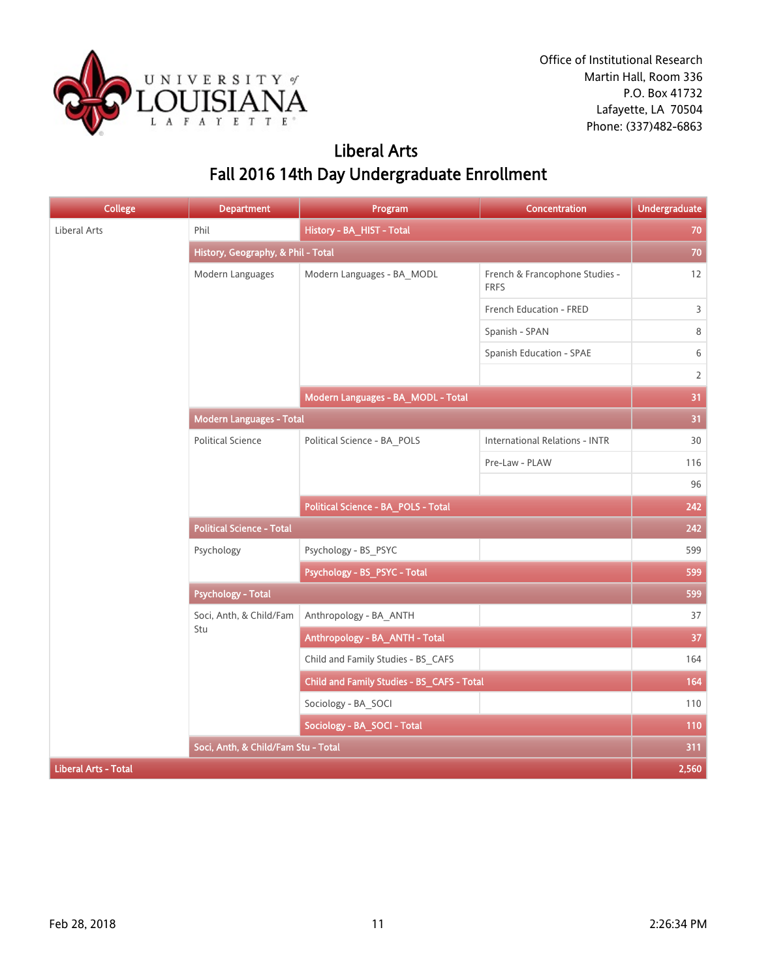

## Liberal Arts Fall 2016 14th Day Undergraduate Enrollment

| <b>College</b>              | <b>Department</b>                   | Program                                    | Concentration                                 | <b>Undergraduate</b> |
|-----------------------------|-------------------------------------|--------------------------------------------|-----------------------------------------------|----------------------|
| Liberal Arts                | Phil                                | History - BA_HIST - Total                  |                                               | 70                   |
|                             | History, Geography, & Phil - Total  |                                            |                                               | 70                   |
|                             | Modern Languages                    | Modern Languages - BA_MODL                 | French & Francophone Studies -<br><b>FRFS</b> | 12                   |
|                             |                                     |                                            | French Education - FRED                       | 3                    |
|                             |                                     |                                            | Spanish - SPAN                                | 8                    |
|                             |                                     |                                            | Spanish Education - SPAE                      | 6                    |
|                             |                                     |                                            |                                               | $\overline{2}$       |
|                             |                                     | Modern Languages - BA_MODL - Total         |                                               | 31                   |
|                             | Modern Languages - Total            |                                            |                                               | 31                   |
|                             | <b>Political Science</b>            | Political Science - BA_POLS                | <b>International Relations - INTR</b>         | 30                   |
|                             |                                     |                                            | Pre-Law - PLAW                                | 116                  |
|                             |                                     |                                            |                                               | 96                   |
|                             |                                     | Political Science - BA_POLS - Total        |                                               | 242                  |
|                             | <b>Political Science - Total</b>    |                                            |                                               | 242                  |
|                             | Psychology                          | Psychology - BS PSYC                       |                                               | 599                  |
|                             |                                     | Psychology - BS_PSYC - Total               |                                               | 599                  |
|                             | <b>Psychology - Total</b>           |                                            |                                               | 599                  |
|                             | Soci, Anth, & Child/Fam             | Anthropology - BA_ANTH                     |                                               | 37                   |
|                             | Stu                                 | Anthropology - BA_ANTH - Total             |                                               | 37                   |
|                             |                                     | Child and Family Studies - BS CAFS         |                                               | 164                  |
|                             |                                     | Child and Family Studies - BS_CAFS - Total |                                               | 164                  |
|                             |                                     | Sociology - BA SOCI                        |                                               | 110                  |
|                             |                                     | Sociology - BA_SOCI - Total                |                                               | 110                  |
|                             | Soci, Anth, & Child/Fam Stu - Total |                                            |                                               | 311                  |
| <b>Liberal Arts - Total</b> |                                     |                                            |                                               | 2,560                |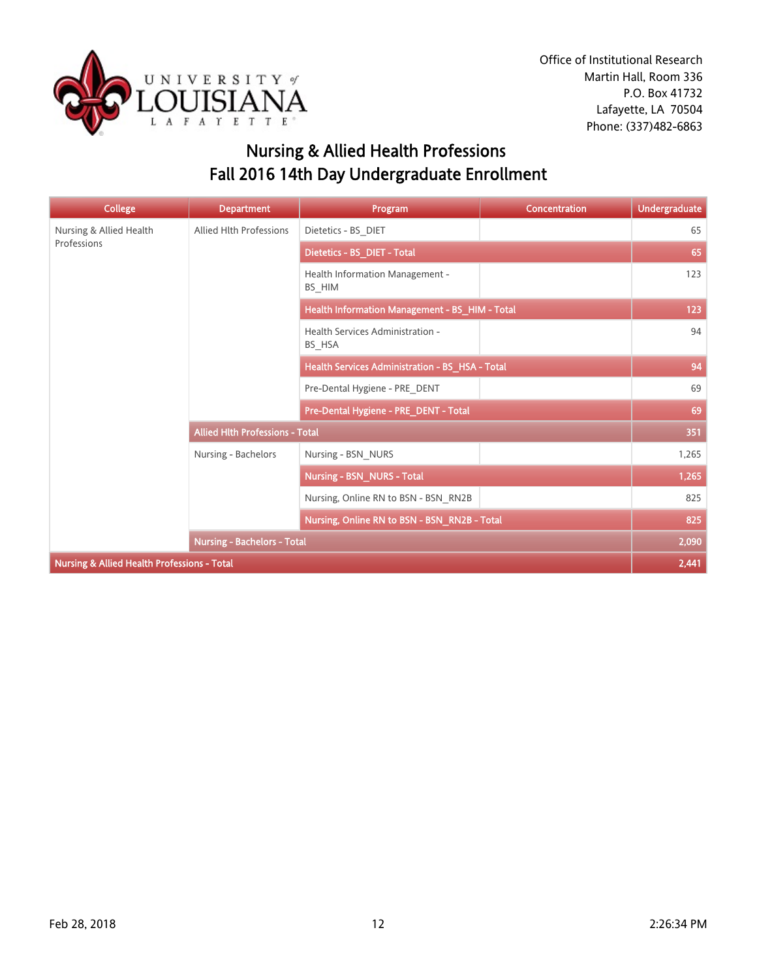

# Nursing & Allied Health Professions Fall 2016 14th Day Undergraduate Enrollment

| <b>College</b>                                         | <b>Department</b>                      | Program                                         | <b>Concentration</b> | <b>Undergraduate</b> |
|--------------------------------------------------------|----------------------------------------|-------------------------------------------------|----------------------|----------------------|
| Nursing & Allied Health                                | <b>Allied Hlth Professions</b>         | Dietetics - BS_DIET                             |                      | 65                   |
| Professions                                            |                                        | Dietetics - BS_DIET - Total                     |                      | 65                   |
|                                                        |                                        | Health Information Management -<br>BS_HIM       |                      | 123                  |
|                                                        |                                        | Health Information Management - BS_HIM - Total  |                      | 123                  |
|                                                        |                                        | Health Services Administration -<br>BS_HSA      |                      | 94                   |
|                                                        |                                        | Health Services Administration - BS_HSA - Total |                      | 94                   |
|                                                        |                                        | Pre-Dental Hygiene - PRE DENT                   |                      | 69                   |
|                                                        |                                        | Pre-Dental Hygiene - PRE_DENT - Total           |                      | 69                   |
|                                                        | <b>Allied Hith Professions - Total</b> |                                                 |                      | 351                  |
|                                                        | Nursing - Bachelors                    | Nursing - BSN_NURS                              |                      | 1,265                |
|                                                        |                                        | <b>Nursing - BSN_NURS - Total</b>               |                      | 1,265                |
|                                                        |                                        | Nursing, Online RN to BSN - BSN RN2B            |                      | 825                  |
|                                                        |                                        | Nursing, Online RN to BSN - BSN_RN2B - Total    |                      | 825                  |
|                                                        | <b>Nursing - Bachelors - Total</b>     |                                                 |                      | 2,090                |
| <b>Nursing &amp; Allied Health Professions - Total</b> |                                        |                                                 |                      | 2,441                |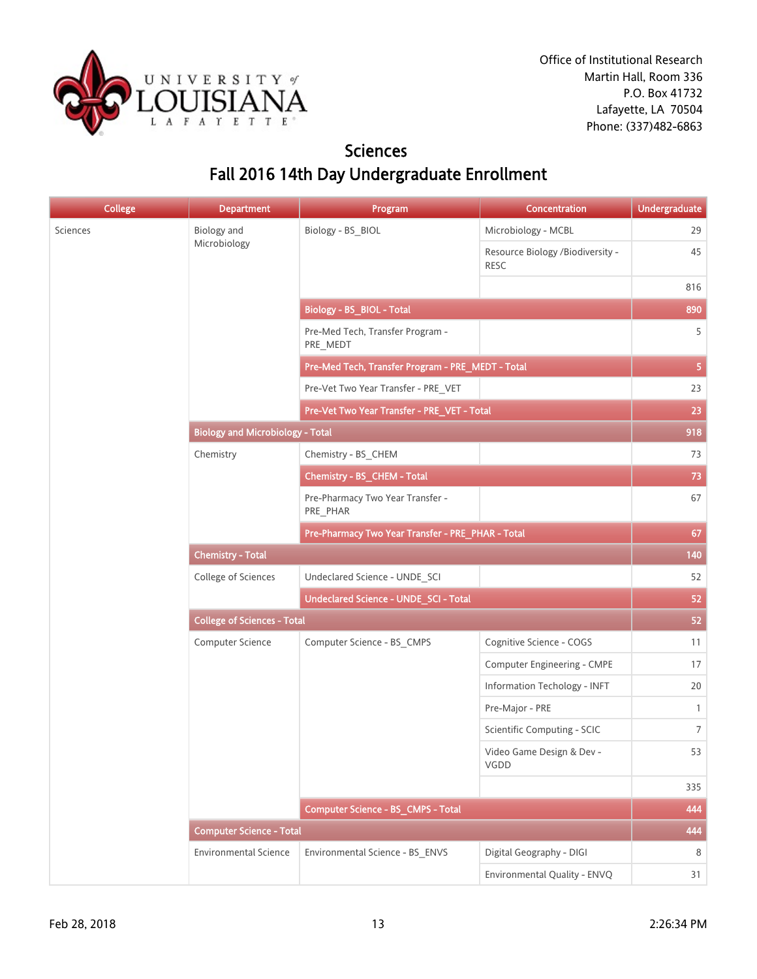

### **Sciences** Fall 2016 14th Day Undergraduate Enrollment

| <b>College</b> | <b>Department</b>                                 | Program                                           | Concentration                                   | <b>Undergraduate</b> |
|----------------|---------------------------------------------------|---------------------------------------------------|-------------------------------------------------|----------------------|
| Sciences       | <b>Biology</b> and                                | Biology - BS_BIOL                                 | Microbiology - MCBL                             | 29                   |
|                | Microbiology                                      |                                                   | Resource Biology /Biodiversity -<br><b>RESC</b> | 45                   |
|                |                                                   |                                                   |                                                 | 816                  |
|                |                                                   | <b>Biology - BS_BIOL - Total</b>                  |                                                 | 890                  |
|                |                                                   | Pre-Med Tech, Transfer Program -<br>PRE_MEDT      |                                                 | 5                    |
|                |                                                   | Pre-Med Tech, Transfer Program - PRE_MEDT - Total |                                                 | 5                    |
|                |                                                   | Pre-Vet Two Year Transfer - PRE_VET               |                                                 | 23                   |
|                |                                                   | Pre-Vet Two Year Transfer - PRE_VET - Total       |                                                 | 23                   |
|                | <b>Biology and Microbiology - Total</b>           |                                                   |                                                 | 918                  |
|                | Chemistry                                         | Chemistry - BS CHEM                               |                                                 | 73                   |
|                |                                                   | Chemistry - BS_CHEM - Total                       |                                                 | 73                   |
|                |                                                   | Pre-Pharmacy Two Year Transfer -<br>PRE PHAR      |                                                 | 67                   |
|                | Pre-Pharmacy Two Year Transfer - PRE_PHAR - Total |                                                   |                                                 |                      |
|                | <b>Chemistry - Total</b>                          |                                                   |                                                 |                      |
|                | College of Sciences                               | Undeclared Science - UNDE_SCI                     |                                                 | 52                   |
|                |                                                   | Undeclared Science - UNDE_SCI - Total             |                                                 | 52                   |
|                | <b>College of Sciences - Total</b>                |                                                   |                                                 |                      |
|                | Computer Science                                  | Computer Science - BS_CMPS                        | Cognitive Science - COGS                        | 11                   |
|                |                                                   |                                                   | Computer Engineering - CMPE                     | 17                   |
|                |                                                   |                                                   | Information Techology - INFT                    | 20                   |
|                |                                                   |                                                   | Pre-Major - PRE                                 | $\mathbf{1}$         |
|                |                                                   |                                                   | Scientific Computing - SCIC                     | $\overline{7}$       |
|                |                                                   |                                                   | Video Game Design & Dev -<br>VGDD               | 53                   |
|                |                                                   |                                                   |                                                 | 335                  |
|                |                                                   | Computer Science - BS_CMPS - Total                |                                                 | 444                  |
|                | <b>Computer Science - Total</b>                   |                                                   |                                                 | 444                  |
|                | <b>Environmental Science</b>                      | Environmental Science - BS_ENVS                   | Digital Geography - DIGI                        | 8                    |
|                |                                                   |                                                   | Environmental Quality - ENVQ                    | 31                   |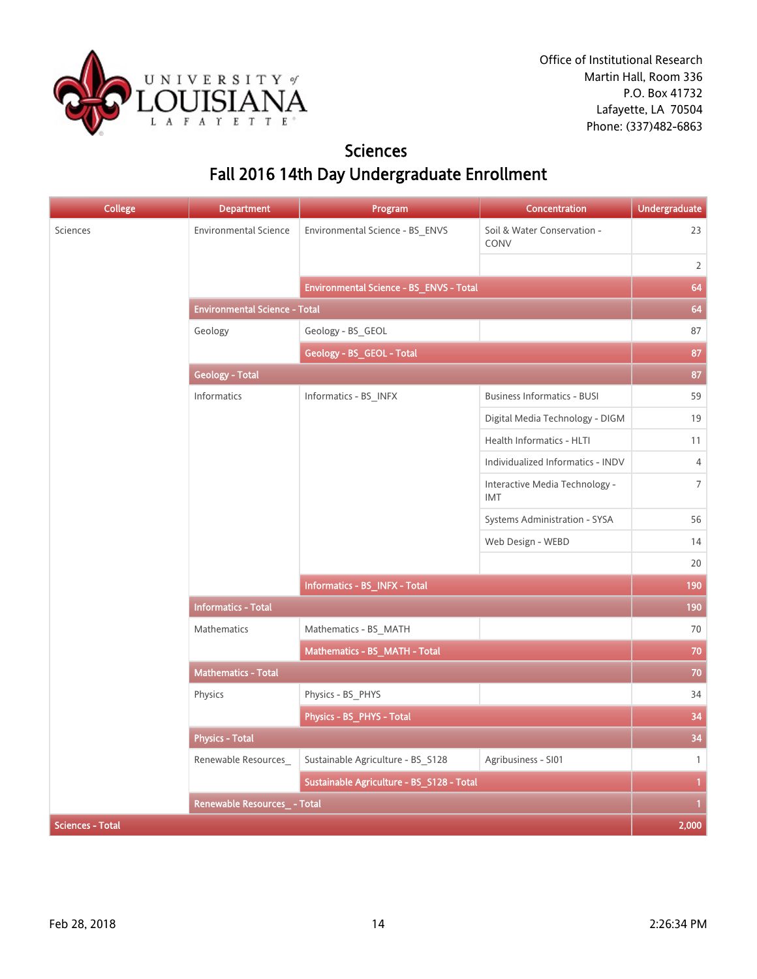

### **Sciences** Fall 2016 14th Day Undergraduate Enrollment

| <b>College</b>          | <b>Department</b>                    | Program                                   | Concentration                              | <b>Undergraduate</b> |
|-------------------------|--------------------------------------|-------------------------------------------|--------------------------------------------|----------------------|
| Sciences                | <b>Environmental Science</b>         | Environmental Science - BS_ENVS           | Soil & Water Conservation -<br><b>CONV</b> | 23                   |
|                         |                                      |                                           |                                            | $\overline{2}$       |
|                         |                                      | Environmental Science - BS_ENVS - Total   |                                            | 64                   |
|                         | <b>Environmental Science - Total</b> |                                           |                                            | 64                   |
|                         | Geology                              | Geology - BS_GEOL                         |                                            | 87                   |
|                         | Geology - BS_GEOL - Total            |                                           |                                            | 87                   |
|                         | <b>Geology - Total</b>               |                                           |                                            | 87                   |
|                         | Informatics                          | Informatics - BS_INFX                     | <b>Business Informatics - BUSI</b>         | 59                   |
|                         |                                      |                                           | Digital Media Technology - DIGM            | 19                   |
|                         |                                      |                                           | Health Informatics - HLTI                  | 11                   |
|                         |                                      |                                           | Individualized Informatics - INDV          | $\sqrt{4}$           |
|                         |                                      |                                           | Interactive Media Technology -<br>IMT      | $\overline{7}$       |
|                         |                                      |                                           | Systems Administration - SYSA              | 56                   |
|                         |                                      |                                           | Web Design - WEBD                          | 14                   |
|                         |                                      |                                           |                                            | 20                   |
|                         |                                      | Informatics - BS_INFX - Total             |                                            | 190                  |
|                         | <b>Informatics - Total</b>           |                                           |                                            | 190                  |
|                         | Mathematics                          | Mathematics - BS MATH                     |                                            | 70                   |
|                         |                                      | Mathematics - BS_MATH - Total             |                                            | 70                   |
|                         | <b>Mathematics - Total</b>           |                                           |                                            | 70                   |
|                         | Physics                              | Physics - BS_PHYS                         |                                            | 34                   |
|                         |                                      | Physics - BS_PHYS - Total                 |                                            | 34                   |
|                         | <b>Physics - Total</b>               |                                           |                                            | 34                   |
|                         | Renewable Resources_                 | Sustainable Agriculture - BS_S128         | Agribusiness - SI01                        | $\mathbf{1}$         |
|                         |                                      | Sustainable Agriculture - BS_S128 - Total |                                            | $\mathbf{1}$         |
|                         | <b>Renewable Resources - Total</b>   |                                           |                                            | 1                    |
| <b>Sciences - Total</b> |                                      |                                           |                                            | 2,000                |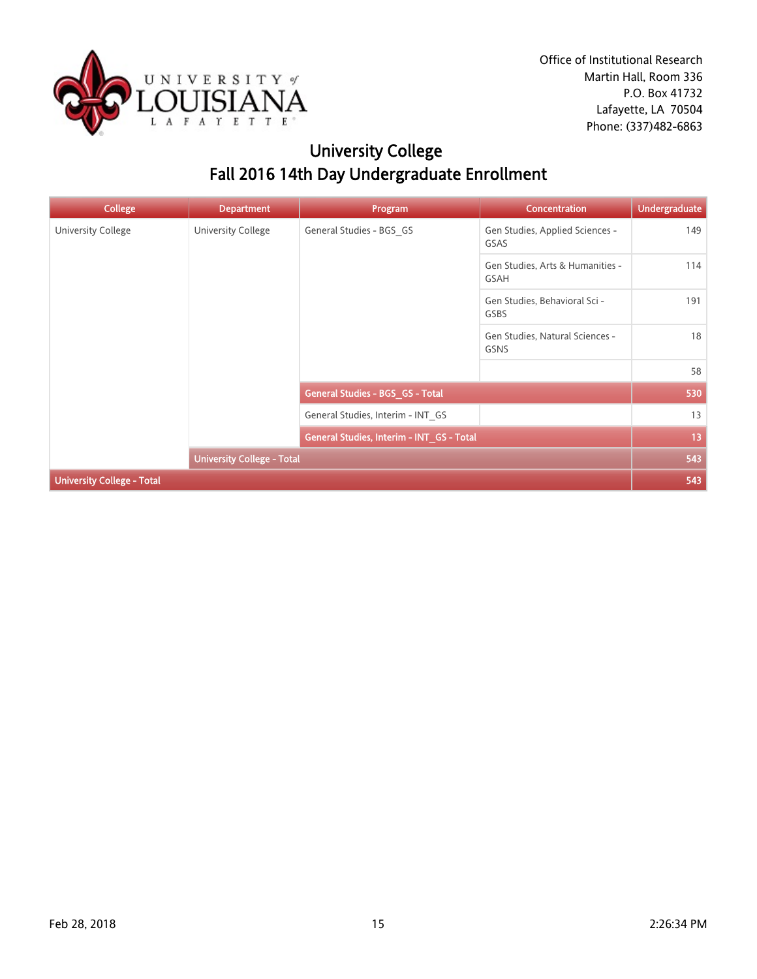

# University College Fall 2016 14th Day Undergraduate Enrollment

| <b>College</b>                    | <b>Department</b>                 | Program                                   | <b>Concentration</b>                     | <b>Undergraduate</b> |
|-----------------------------------|-----------------------------------|-------------------------------------------|------------------------------------------|----------------------|
| University College                | University College                | General Studies - BGS_GS                  | Gen Studies, Applied Sciences -<br>GSAS  | 149                  |
|                                   |                                   |                                           | Gen Studies, Arts & Humanities -<br>GSAH | 114                  |
|                                   |                                   |                                           | Gen Studies, Behavioral Sci -<br>GSBS    | 191                  |
|                                   |                                   |                                           | Gen Studies, Natural Sciences -<br>GSNS  | 18                   |
|                                   |                                   |                                           |                                          | 58                   |
|                                   |                                   | General Studies - BGS_GS - Total          |                                          | 530                  |
|                                   |                                   | General Studies, Interim - INT_GS         |                                          | 13                   |
|                                   |                                   | General Studies, Interim - INT_GS - Total |                                          | 13                   |
|                                   | <b>University College - Total</b> |                                           |                                          | 543                  |
| <b>University College - Total</b> |                                   |                                           |                                          | 543                  |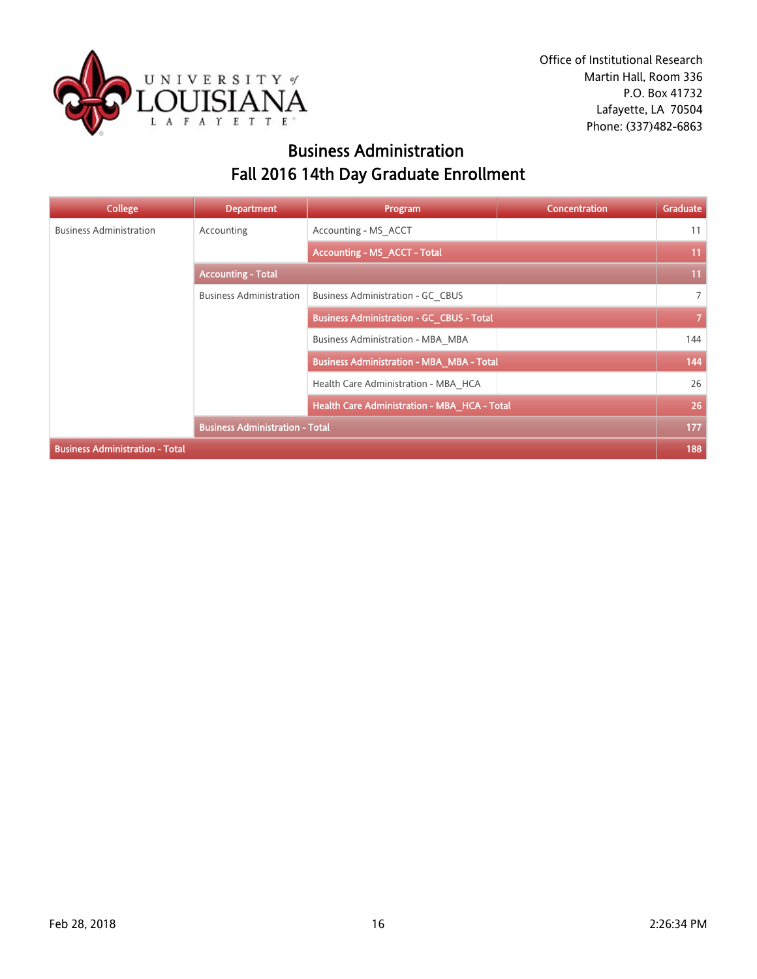

## Business Administration Fall 2016 14th Day Graduate Enrollment

| College                                | <b>Department</b>                      | Program                                          | <b>Concentration</b> | Graduate       |
|----------------------------------------|----------------------------------------|--------------------------------------------------|----------------------|----------------|
| <b>Business Administration</b>         | Accounting                             | Accounting - MS ACCT                             |                      | 11             |
|                                        |                                        | <b>Accounting - MS_ACCT - Total</b>              |                      | 11             |
|                                        | <b>Accounting - Total</b>              |                                                  |                      | 11             |
|                                        | <b>Business Administration</b>         | Business Administration - GC CBUS                |                      | $\overline{7}$ |
|                                        |                                        | <b>Business Administration - GC_CBUS - Total</b> |                      | $\overline{7}$ |
|                                        |                                        | Business Administration - MBA MBA                |                      | 144            |
|                                        |                                        | <b>Business Administration - MBA_MBA - Total</b> |                      | 144            |
|                                        |                                        | Health Care Administration - MBA HCA             |                      | 26             |
|                                        |                                        | Health Care Administration - MBA_HCA - Total     |                      | 26             |
|                                        | <b>Business Administration - Total</b> |                                                  |                      | 177            |
| <b>Business Administration - Total</b> |                                        |                                                  |                      | 188            |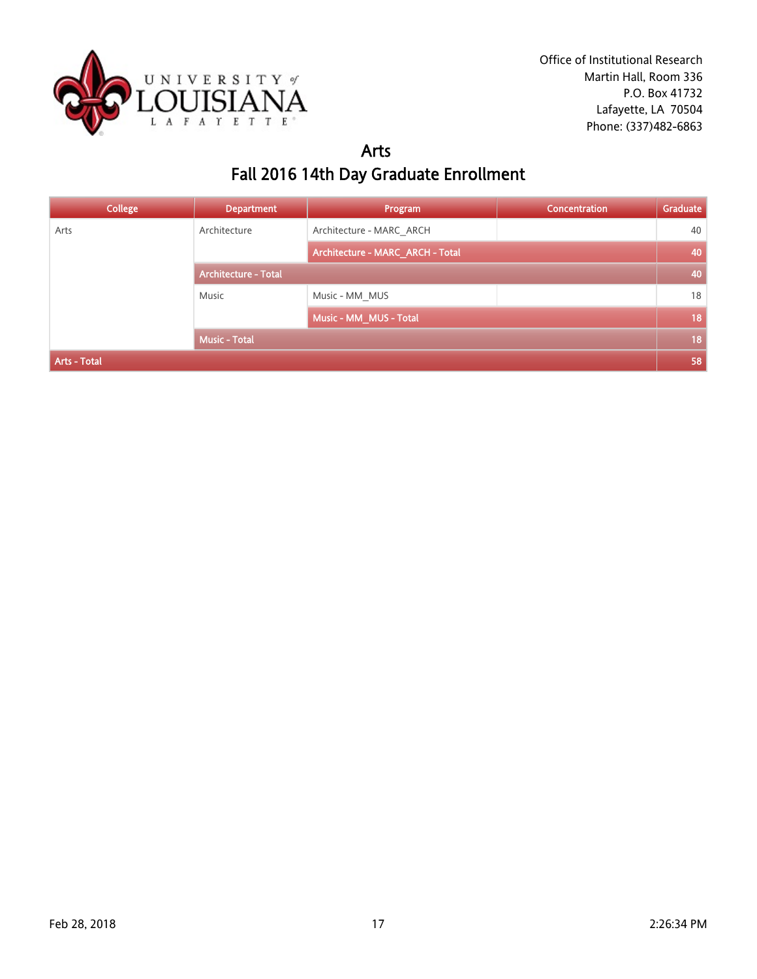

#### Arts Fall 2016 14th Day Graduate Enrollment

| <b>College</b> | <b>Department</b>           | Program                          | <b>Concentration</b> | Graduate |
|----------------|-----------------------------|----------------------------------|----------------------|----------|
| Arts           | Architecture                | Architecture - MARC_ARCH         |                      | 40       |
|                |                             | Architecture - MARC_ARCH - Total |                      | 40       |
|                | <b>Architecture - Total</b> |                                  |                      | 40       |
|                | Music                       | Music - MM MUS                   |                      | 18       |
|                |                             | Music - MM_MUS - Total           |                      | 18       |
|                | <b>Music - Total</b>        |                                  |                      | 18       |
| Arts - Total   |                             |                                  |                      | 58       |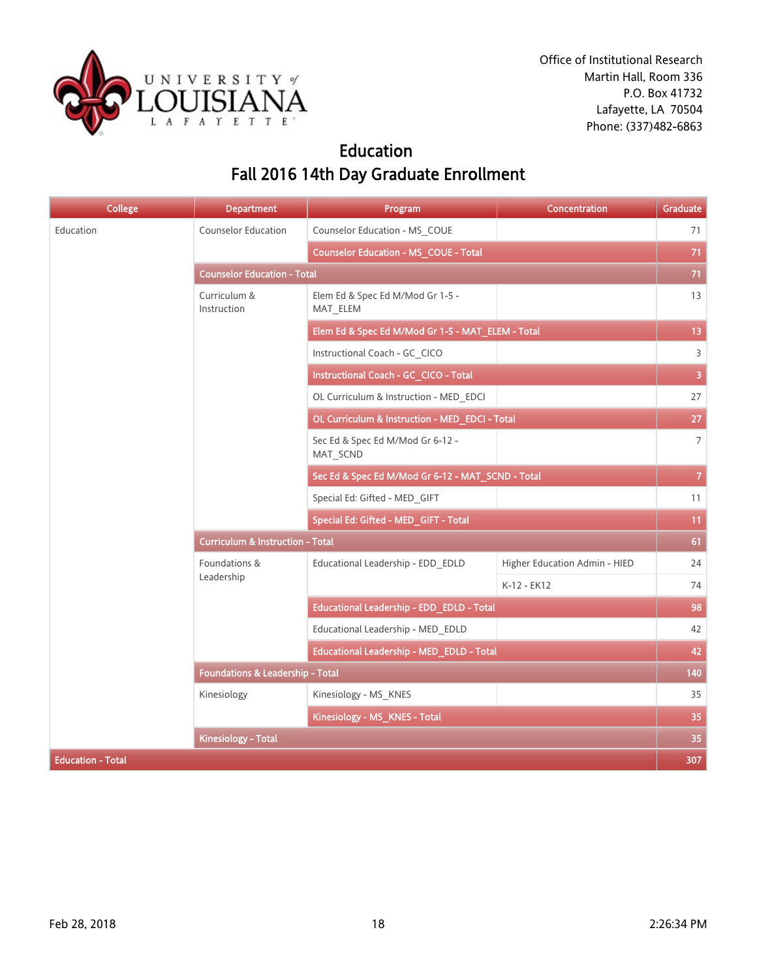

## Education Fall 2016 14th Day Graduate Enrollment

| <b>College</b>           | <b>Department</b>                           | Program                                           | <b>Concentration</b>          | Graduate        |
|--------------------------|---------------------------------------------|---------------------------------------------------|-------------------------------|-----------------|
| Education                | Counselor Education                         | Counselor Education - MS COUE                     |                               | 71              |
|                          |                                             | <b>Counselor Education - MS_COUE - Total</b>      |                               | 71              |
|                          | <b>Counselor Education - Total</b>          |                                                   |                               | 71              |
|                          | Curriculum &<br>Instruction                 | Elem Ed & Spec Ed M/Mod Gr 1-5 -<br>MAT_ELEM      |                               | 13              |
|                          |                                             | Elem Ed & Spec Ed M/Mod Gr 1-5 - MAT_ELEM - Total |                               | 13 <sup>°</sup> |
|                          |                                             | Instructional Coach - GC CICO                     |                               | $\overline{3}$  |
|                          |                                             | Instructional Coach - GC_CICO - Total             |                               | $\overline{3}$  |
|                          |                                             | OL Curriculum & Instruction - MED EDCI            |                               | 27              |
|                          |                                             | OL Curriculum & Instruction - MED_EDCI - Total    |                               | 27              |
|                          |                                             | Sec Ed & Spec Ed M/Mod Gr 6-12 -<br>MAT_SCND      |                               | $\overline{7}$  |
|                          |                                             | Sec Ed & Spec Ed M/Mod Gr 6-12 - MAT_SCND - Total |                               | $\mathbf{7}$    |
|                          |                                             | Special Ed: Gifted - MED GIFT                     |                               | 11              |
|                          |                                             | Special Ed: Gifted - MED_GIFT - Total             |                               | 11              |
|                          | <b>Curriculum &amp; Instruction - Total</b> |                                                   |                               |                 |
|                          | Foundations &                               | Educational Leadership - EDD EDLD                 | Higher Education Admin - HIED | 24              |
|                          | Leadership                                  |                                                   | K-12 - EK12                   | 74              |
|                          |                                             | Educational Leadership - EDD_EDLD - Total         |                               | 98              |
|                          |                                             | Educational Leadership - MED_EDLD                 |                               | 42              |
|                          |                                             | Educational Leadership - MED_EDLD - Total         |                               | 42              |
|                          | <b>Foundations &amp; Leadership - Total</b> |                                                   |                               | 140             |
|                          | Kinesiology                                 | Kinesiology - MS_KNES                             |                               | 35              |
|                          |                                             | Kinesiology - MS_KNES - Total                     |                               | 35              |
|                          | <b>Kinesiology - Total</b>                  |                                                   |                               | 35              |
| <b>Education - Total</b> |                                             |                                                   |                               | 307             |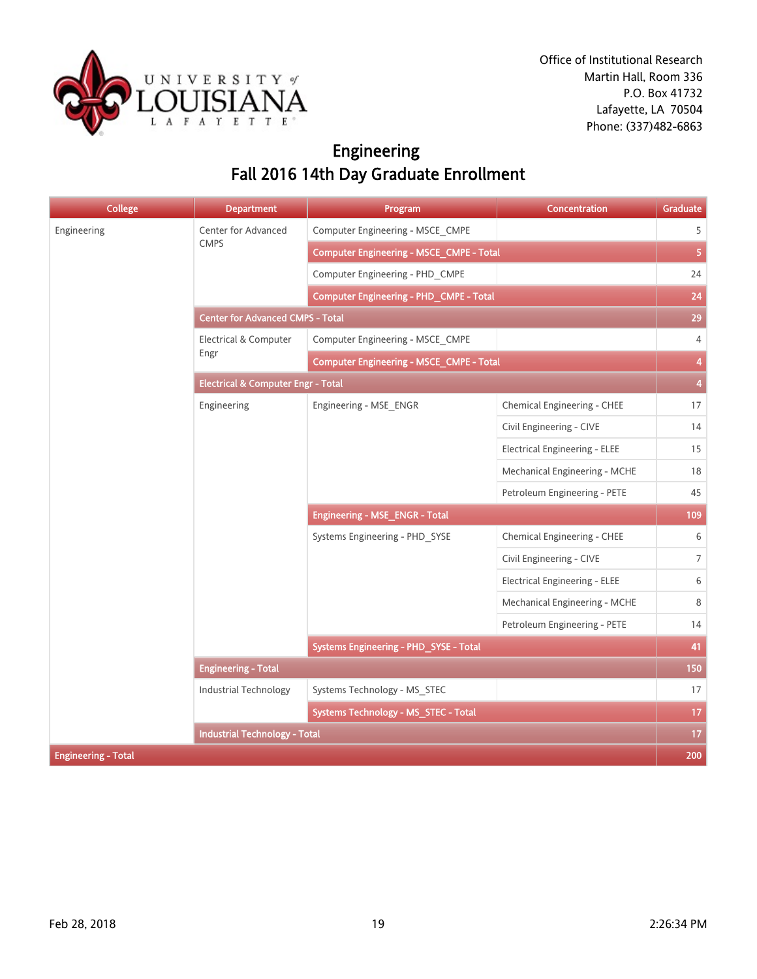

# Engineering Fall 2016 14th Day Graduate Enrollment

| <b>College</b>             | <b>Department</b>                             | Program                                         | <b>Concentration</b>                 | Graduate                |
|----------------------------|-----------------------------------------------|-------------------------------------------------|--------------------------------------|-------------------------|
| Engineering                | Center for Advanced                           | Computer Engineering - MSCE_CMPE                |                                      | 5                       |
|                            | <b>CMPS</b>                                   | Computer Engineering - MSCE_CMPE - Total        |                                      | $\overline{5}$          |
|                            |                                               | Computer Engineering - PHD CMPE                 |                                      | 24                      |
|                            |                                               | Computer Engineering - PHD_CMPE - Total         |                                      | 24                      |
|                            | <b>Center for Advanced CMPS - Total</b>       |                                                 |                                      | 29                      |
|                            | Electrical & Computer                         | Computer Engineering - MSCE_CMPE                |                                      | 4                       |
|                            | Engr                                          | <b>Computer Engineering - MSCE_CMPE - Total</b> |                                      | $\overline{\mathbf{4}}$ |
|                            | <b>Electrical &amp; Computer Engr - Total</b> |                                                 |                                      |                         |
|                            | Engineering                                   | Engineering - MSE_ENGR                          | Chemical Engineering - CHEE          | 17                      |
|                            |                                               |                                                 | Civil Engineering - CIVE             | 14                      |
|                            |                                               |                                                 | <b>Electrical Engineering - ELEE</b> | 15                      |
|                            |                                               |                                                 | Mechanical Engineering - MCHE        | 18                      |
|                            |                                               |                                                 | Petroleum Engineering - PETE         | 45                      |
|                            |                                               | <b>Engineering - MSE_ENGR - Total</b>           |                                      | 109                     |
|                            |                                               | Systems Engineering - PHD_SYSE                  | Chemical Engineering - CHEE          | 6                       |
|                            |                                               |                                                 | Civil Engineering - CIVE             | $\overline{7}$          |
|                            |                                               |                                                 | <b>Electrical Engineering - ELEE</b> | 6                       |
|                            |                                               |                                                 | Mechanical Engineering - MCHE        | 8                       |
|                            |                                               |                                                 | Petroleum Engineering - PETE         | 14                      |
|                            |                                               | Systems Engineering - PHD_SYSE - Total          |                                      | 41                      |
|                            | <b>Engineering - Total</b>                    |                                                 |                                      | 150                     |
|                            | Industrial Technology                         | Systems Technology - MS_STEC                    |                                      | 17                      |
|                            |                                               | Systems Technology - MS_STEC - Total            |                                      | 17                      |
|                            | <b>Industrial Technology - Total</b>          |                                                 |                                      | 17                      |
| <b>Engineering - Total</b> |                                               |                                                 |                                      | 200                     |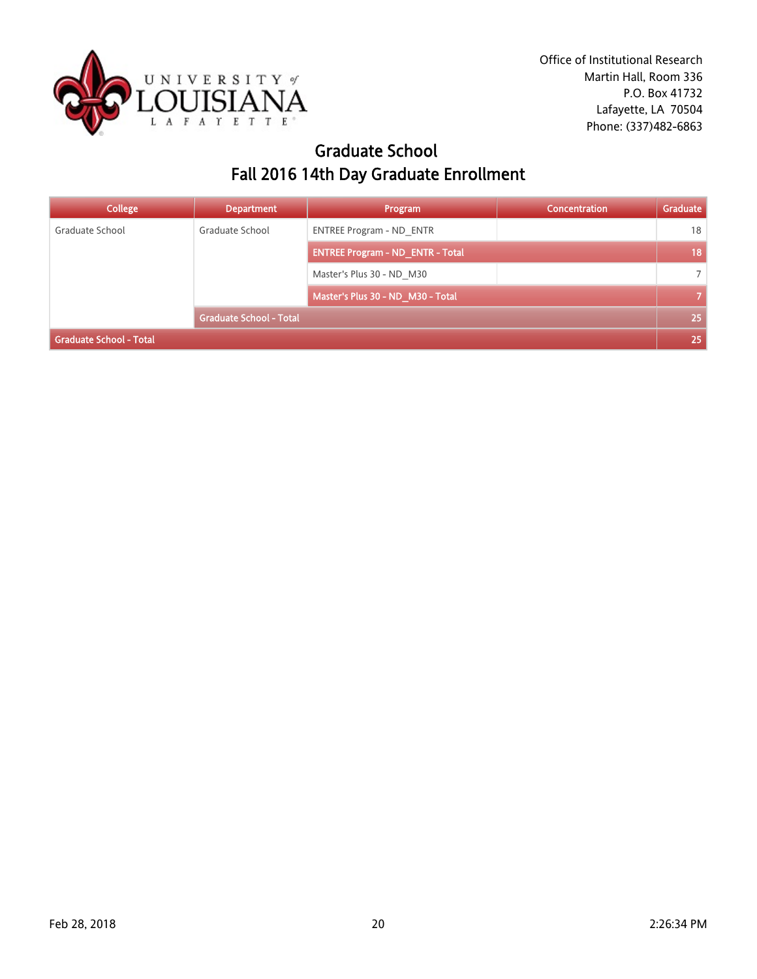

## Graduate School Fall 2016 14th Day Graduate Enrollment

| <b>College</b>                 | <b>Department</b>              | Program                                 | Concentration | Graduate       |
|--------------------------------|--------------------------------|-----------------------------------------|---------------|----------------|
| Graduate School                | Graduate School                | <b>ENTREE Program - ND ENTR</b>         |               | 18             |
|                                |                                | <b>ENTREE Program - ND ENTR - Total</b> |               | 18             |
|                                |                                | Master's Plus 30 - ND M30               |               | $\overline{7}$ |
|                                |                                | Master's Plus 30 - ND_M30 - Total       |               | $\overline{7}$ |
|                                | <b>Graduate School - Total</b> |                                         |               | 25             |
| <b>Graduate School - Total</b> |                                |                                         |               | 25             |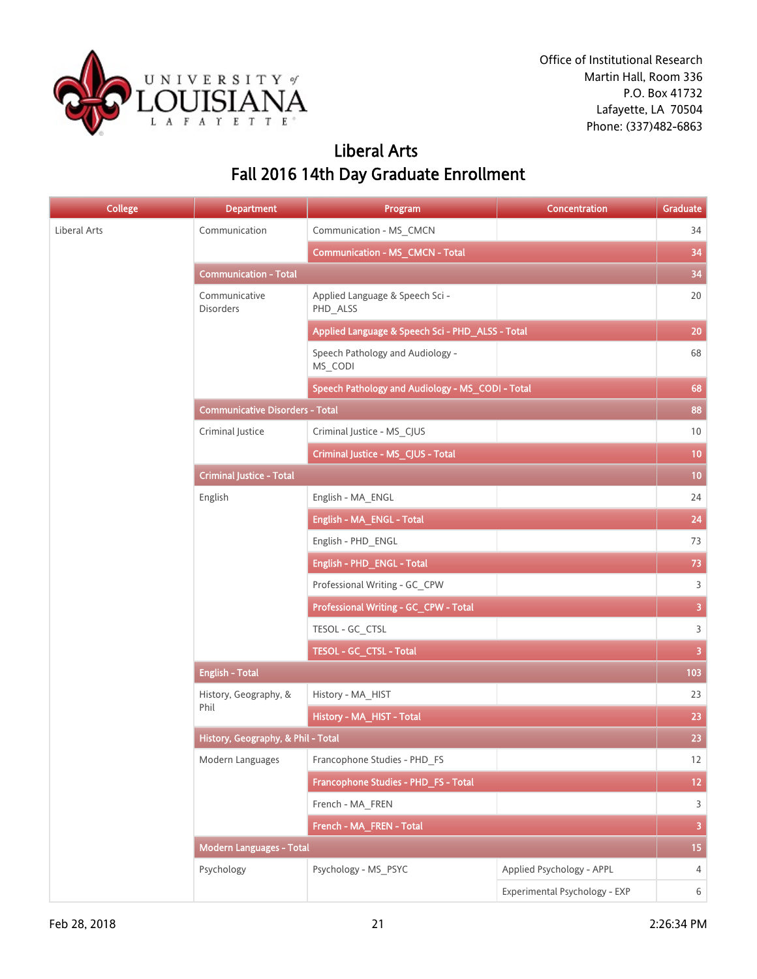

# Liberal Arts Fall 2016 14th Day Graduate Enrollment

| <b>College</b> | <b>Department</b>                      | Program                                          | Concentration                 | Graduate                |
|----------------|----------------------------------------|--------------------------------------------------|-------------------------------|-------------------------|
| Liberal Arts   | Communication                          | Communication - MS_CMCN                          |                               | 34                      |
|                |                                        | <b>Communication - MS_CMCN - Total</b>           |                               | 34                      |
|                | <b>Communication - Total</b>           |                                                  |                               | 34                      |
|                | Communicative<br><b>Disorders</b>      | Applied Language & Speech Sci -<br>PHD_ALSS      |                               | 20                      |
|                |                                        | Applied Language & Speech Sci - PHD_ALSS - Total |                               | $20\,$                  |
|                |                                        | Speech Pathology and Audiology -<br>MS CODI      |                               | 68                      |
|                |                                        | Speech Pathology and Audiology - MS_CODI - Total |                               | 68                      |
|                | <b>Communicative Disorders - Total</b> |                                                  |                               | 88                      |
|                | Criminal Justice                       | Criminal Justice - MS_CJUS                       |                               | $10\,$                  |
|                |                                        | Criminal Justice - MS_CJUS - Total               |                               | 10                      |
|                | <b>Criminal Justice - Total</b>        |                                                  |                               | 10                      |
|                | English                                | English - MA_ENGL                                |                               | 24                      |
|                |                                        | English - MA_ENGL - Total                        |                               | 24                      |
|                |                                        | English - PHD_ENGL                               |                               | 73                      |
|                |                                        | English - PHD_ENGL - Total                       |                               | 73                      |
|                |                                        | Professional Writing - GC_CPW                    |                               | $\overline{3}$          |
|                |                                        | Professional Writing - GC_CPW - Total            |                               | $\overline{3}$          |
|                |                                        | TESOL - GC_CTSL                                  |                               | $\overline{3}$          |
|                |                                        | TESOL - GC_CTSL - Total                          |                               | $\overline{3}$          |
|                | <b>English - Total</b>                 |                                                  |                               | 103                     |
|                | History, Geography, &<br>Phil          | History - MA_HIST                                |                               | 23                      |
|                |                                        | History - MA_HIST - Total                        |                               | 23                      |
|                | History, Geography, & Phil - Total     |                                                  |                               | 23                      |
|                | Modern Languages                       | Francophone Studies - PHD_FS                     |                               | 12                      |
|                |                                        | Francophone Studies - PHD_FS - Total             |                               | 12 <sub>1</sub>         |
|                |                                        | French - MA_FREN                                 |                               | $\overline{3}$          |
|                |                                        | French - MA_FREN - Total                         |                               | $\overline{\mathbf{3}}$ |
|                | <b>Modern Languages - Total</b>        |                                                  |                               | 15 <sub>15</sub>        |
|                | Psychology                             | Psychology - MS_PSYC                             | Applied Psychology - APPL     | $\overline{4}$          |
|                |                                        |                                                  | Experimental Psychology - EXP | 6                       |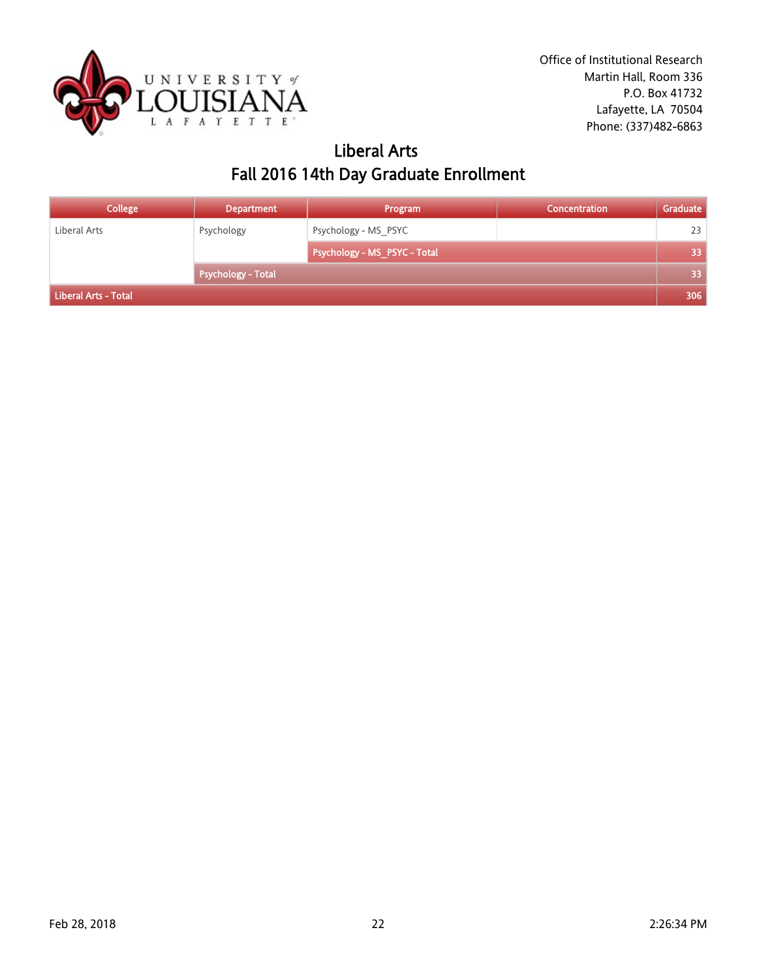

## Liberal Arts Fall 2016 14th Day Graduate Enrollment

| <b>College</b>       | <b>Department</b>         | Program                      | <b>Concentration</b> | Graduate |
|----------------------|---------------------------|------------------------------|----------------------|----------|
| Liberal Arts         | Psychology                | Psychology - MS PSYC         |                      | 23       |
|                      |                           | Psychology - MS_PSYC - Total |                      | 33       |
|                      | <b>Psychology - Total</b> |                              |                      | 33       |
| Liberal Arts - Total |                           |                              |                      | 306      |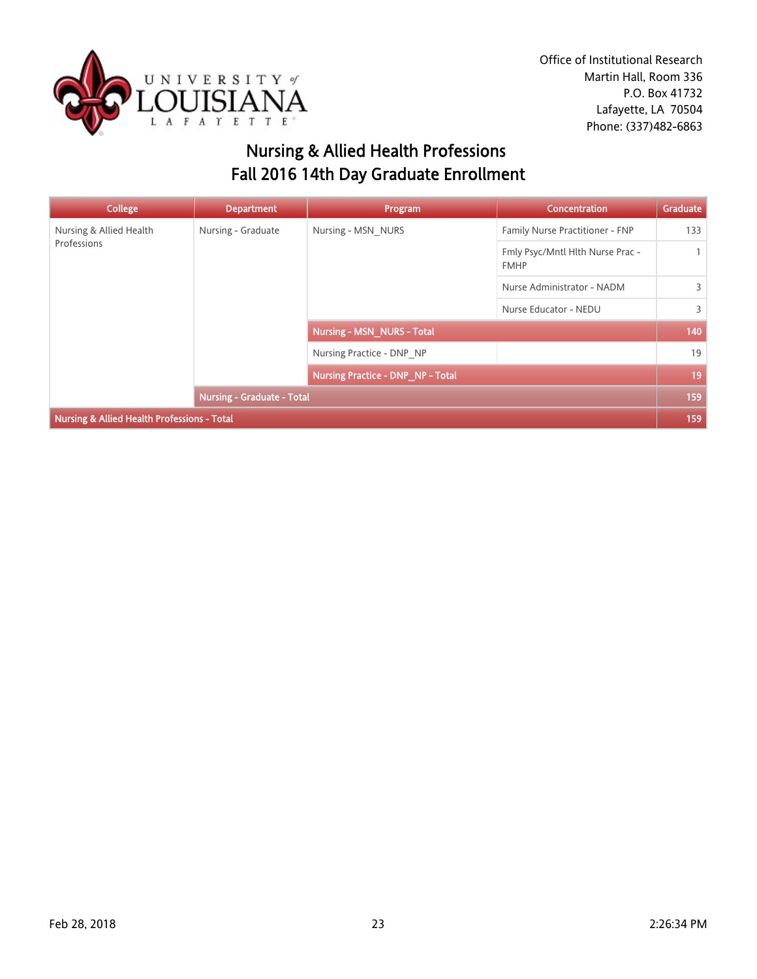

# Nursing & Allied Health Professions Fall 2016 14th Day Graduate Enrollment

| College                                                | <b>Department</b>                 | Program                                  | <b>Concentration</b>                            | Graduate     |
|--------------------------------------------------------|-----------------------------------|------------------------------------------|-------------------------------------------------|--------------|
| Nursing & Allied Health<br>Professions                 | Nursing - Graduate                | Nursing - MSN NURS                       | Family Nurse Practitioner - FNP                 | 133          |
|                                                        |                                   |                                          | Fmly Psyc/Mntl Hlth Nurse Prac -<br><b>FMHP</b> | $\mathbf{1}$ |
|                                                        |                                   |                                          | Nurse Administrator - NADM                      | 3            |
|                                                        |                                   |                                          | Nurse Educator - NEDU                           | 3            |
|                                                        |                                   | <b>Nursing - MSN_NURS - Total</b>        |                                                 | 140          |
|                                                        |                                   | Nursing Practice - DNP NP                |                                                 | 19           |
|                                                        |                                   | <b>Nursing Practice - DNP_NP - Total</b> |                                                 | 19           |
|                                                        | <b>Nursing - Graduate - Total</b> |                                          |                                                 | 159          |
| <b>Nursing &amp; Allied Health Professions - Total</b> |                                   |                                          |                                                 | 159          |